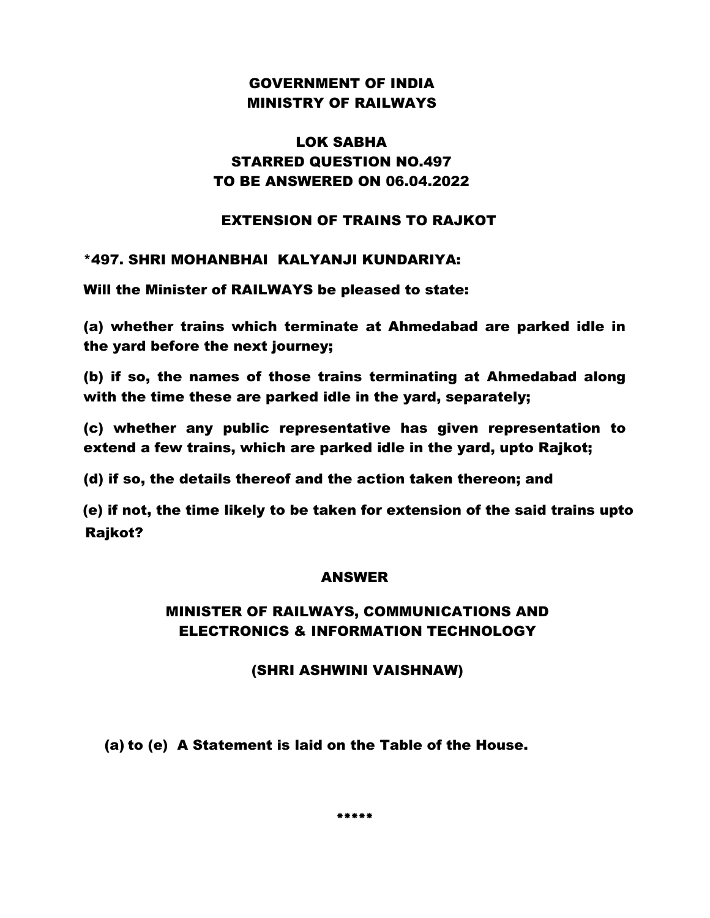## GOVERNMENT OF INDIA MINISTRY OF RAILWAYS

## LOK SABHA STARRED QUESTION NO.497 TO BE ANSWERED ON 06.04.2022

#### EXTENSION OF TRAINS TO RAJKOT

#### \*497. SHRI MOHANBHAI KALYANJI KUNDARIYA:

Will the Minister of RAILWAYS be pleased to state:

(a) whether trains which terminate at Ahmedabad are parked idle in the yard before the next journey;

(b) if so, the names of those trains terminating at Ahmedabad along with the time these are parked idle in the yard, separately;

(c) whether any public representative has given representation to extend a few trains, which are parked idle in the yard, upto Rajkot;

(d) if so, the details thereof and the action taken thereon; and

(e) if not, the time likely to be taken for extension of the said trains upto Rajkot?

#### ANSWER

## MINISTER OF RAILWAYS, COMMUNICATIONS AND ELECTRONICS & INFORMATION TECHNOLOGY

### (SHRI ASHWINI VAISHNAW)

(a) to (e) A Statement is laid on the Table of the House.

**\*\*\*\*\***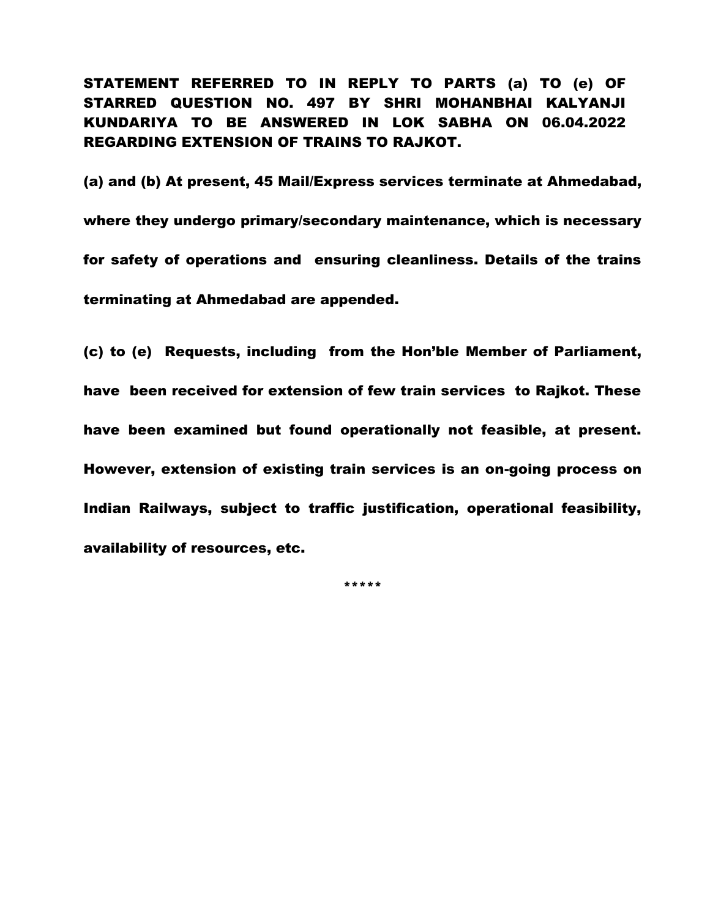STATEMENT REFERRED TO IN REPLY TO PARTS (a) TO (e) OF STARRED QUESTION NO. 497 BY SHRI MOHANBHAI KALYANJI KUNDARIYA TO BE ANSWERED IN LOK SABHA ON 06.04.2022 REGARDING EXTENSION OF TRAINS TO RAJKOT.

(a) and (b) At present, 45 Mail/Express services terminate at Ahmedabad, where they undergo primary/secondary maintenance, which is necessary for safety of operations and ensuring cleanliness. Details of the trains terminating at Ahmedabad are appended.

(c) to (e) Requests, including from the Hon'ble Member of Parliament, have been received for extension of few train services to Rajkot. These have been examined but found operationally not feasible, at present. However, extension of existing train services is an on-going process on Indian Railways, subject to traffic justification, operational feasibility, availability of resources, etc.

\*\*\*\*\*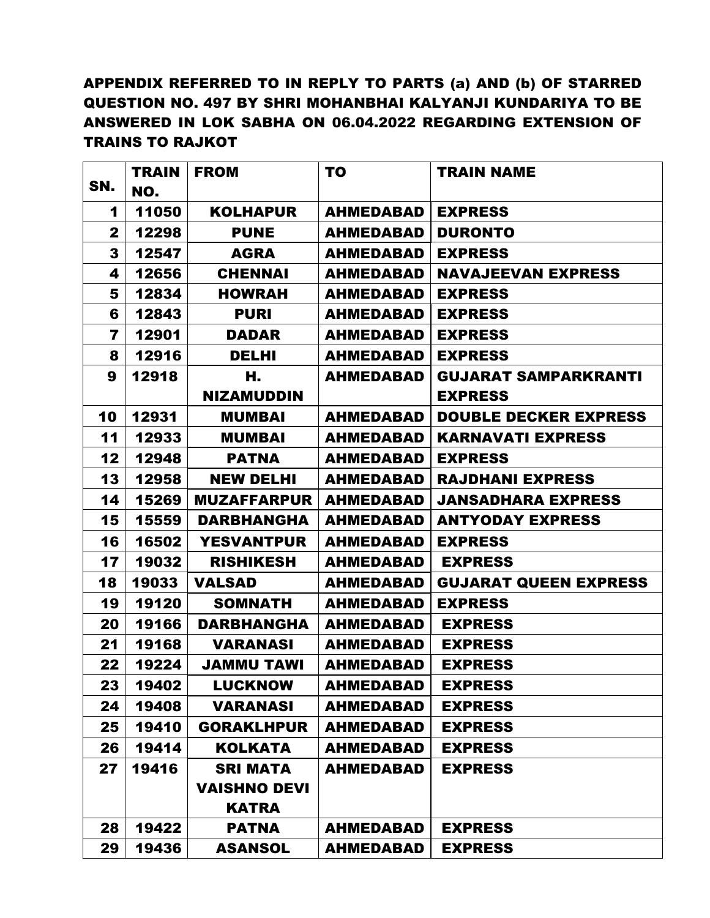# APPENDIX REFERRED TO IN REPLY TO PARTS (a) AND (b) OF STARRED QUESTION NO. 497 BY SHRI MOHANBHAI KALYANJI KUNDARIYA TO BE ANSWERED IN LOK SABHA ON 06.04.2022 REGARDING EXTENSION OF TRAINS TO RAJKOT

|                | <b>TRAIN</b> | <b>FROM</b>         | T <sub>0</sub>   | <b>TRAIN NAME</b>            |
|----------------|--------------|---------------------|------------------|------------------------------|
| SN.            | NO.          |                     |                  |                              |
| 1              | 11050        | <b>KOLHAPUR</b>     | AHMEDABAD        | <b>EXPRESS</b>               |
| $\mathbf{2}$   | 12298        | <b>PUNE</b>         | <b>AHMEDABAD</b> | <b>DURONTO</b>               |
| 3              | 12547        | <b>AGRA</b>         | <b>AHMEDABAD</b> | <b>EXPRESS</b>               |
| 4              | 12656        | <b>CHENNAI</b>      | <b>AHMEDABAD</b> | <b>NAVAJEEVAN EXPRESS</b>    |
| 5              | 12834        | <b>HOWRAH</b>       | <b>AHMEDABAD</b> | <b>EXPRESS</b>               |
| 6              | 12843        | <b>PURI</b>         | <b>AHMEDABAD</b> | <b>EXPRESS</b>               |
| $\overline{7}$ | 12901        | <b>DADAR</b>        | <b>AHMEDABAD</b> | <b>EXPRESS</b>               |
| 8              | 12916        | <b>DELHI</b>        | <b>AHMEDABAD</b> | <b>EXPRESS</b>               |
| 9              | 12918        | Н.                  | <b>AHMEDABAD</b> | <b>GUJARAT SAMPARKRANTI</b>  |
|                |              | <b>NIZAMUDDIN</b>   |                  | <b>EXPRESS</b>               |
| 10             | 12931        | <b>MUMBAI</b>       | <b>AHMEDABAD</b> | <b>DOUBLE DECKER EXPRESS</b> |
| 11             | 12933        | <b>MUMBAI</b>       | <b>AHMEDABAD</b> | <b>KARNAVATI EXPRESS</b>     |
| 12             | 12948        | <b>PATNA</b>        | <b>AHMEDABAD</b> | <b>EXPRESS</b>               |
| 13             | 12958        | <b>NEW DELHI</b>    | <b>AHMEDABAD</b> | <b>RAJDHANI EXPRESS</b>      |
| 14             | 15269        | <b>MUZAFFARPUR</b>  | <b>AHMEDABAD</b> | <b>JANSADHARA EXPRESS</b>    |
| 15             | 15559        | <b>DARBHANGHA</b>   | <b>AHMEDABAD</b> | <b>ANTYODAY EXPRESS</b>      |
| 16             | 16502        | <b>YESVANTPUR</b>   | <b>AHMEDABAD</b> | <b>EXPRESS</b>               |
| 17             | 19032        | <b>RISHIKESH</b>    | <b>AHMEDABAD</b> | <b>EXPRESS</b>               |
| 18             | 19033        | <b>VALSAD</b>       | <b>AHMEDABAD</b> | <b>GUJARAT QUEEN EXPRESS</b> |
| 19             | 19120        | <b>SOMNATH</b>      | <b>AHMEDABAD</b> | <b>EXPRESS</b>               |
| 20             | 19166        | <b>DARBHANGHA</b>   | <b>AHMEDABAD</b> | <b>EXPRESS</b>               |
| 21             | 19168        | <b>VARANASI</b>     | <b>AHMEDABAD</b> | <b>EXPRESS</b>               |
| 22             | 19224        | <b>JAMMU TAWI</b>   | <b>AHMEDABAD</b> | <b>EXPRESS</b>               |
| 23             | 19402        | LUCKNOW             | <b>AHMEDABAD</b> | <b>EXPRESS</b>               |
| 24             | 19408        | <b>VARANASI</b>     | <b>AHMEDABAD</b> | <b>EXPRESS</b>               |
| 25             | 19410        | <b>GORAKLHPUR</b>   | <b>AHMEDABAD</b> | <b>EXPRESS</b>               |
| 26             | 19414        | <b>KOLKATA</b>      | <b>AHMEDABAD</b> | <b>EXPRESS</b>               |
| 27             | 19416        | <b>SRI MATA</b>     | <b>AHMEDABAD</b> | <b>EXPRESS</b>               |
|                |              | <b>VAISHNO DEVI</b> |                  |                              |
|                |              | <b>KATRA</b>        |                  |                              |
| 28             | 19422        | <b>PATNA</b>        | <b>AHMEDABAD</b> | <b>EXPRESS</b>               |
| 29             | 19436        | <b>ASANSOL</b>      | <b>AHMEDABAD</b> | <b>EXPRESS</b>               |